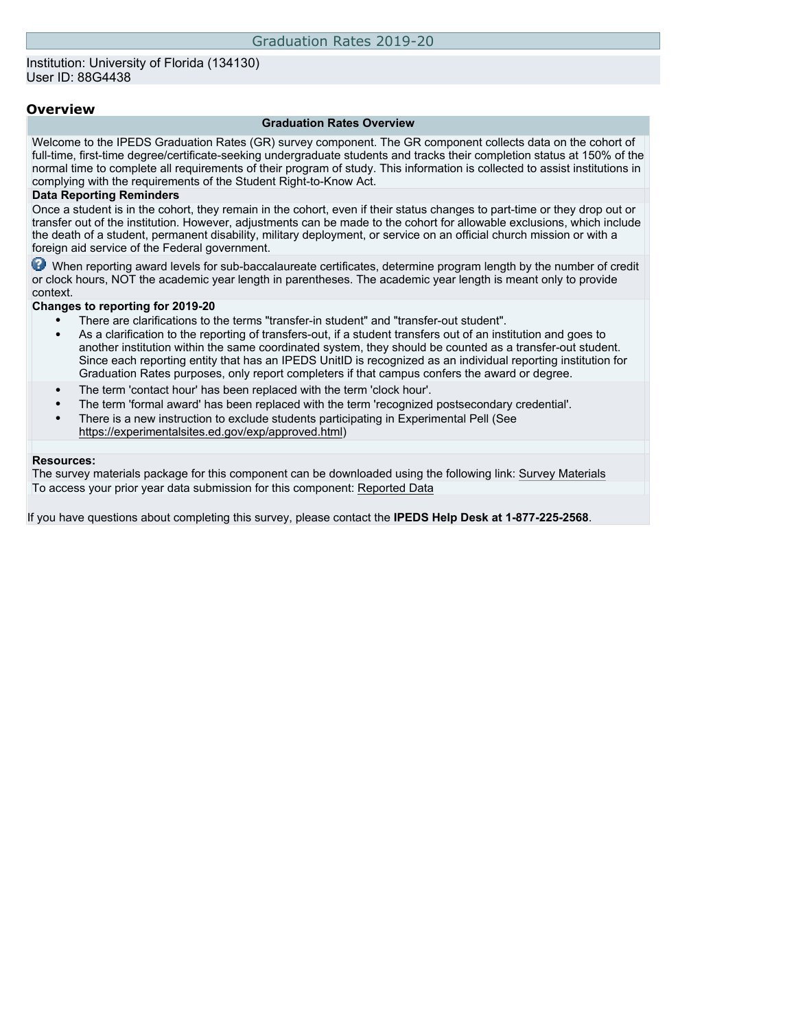## Institution: University of Florida (134130) User ID: 88G4438

## **Overview**

#### **Graduation Rates Overview**

Welcome to the IPEDS Graduation Rates (GR) survey component. The GR component collects data on the cohort of full-time, first-time degree/certificate-seeking undergraduate students and tracks their completion status at 150% of the normal time to complete all requirements of their program of study. This information is collected to assist institutions in complying with the requirements of the Student Right-to-Know Act.

### **Data Reporting Reminders**

Once a student is in the cohort, they remain in the cohort, even if their status changes to part-time or they drop out or transfer out of the institution. However, adjustments can be made to the cohort for allowable exclusions, which include the death of a student, permanent disability, military deployment, or service on an official church mission or with a foreign aid service of the Federal government.

When reporting award levels for sub-baccalaureate certificates, determine program length by the number of credit or clock hours, NOT the academic year length in parentheses. The academic year length is meant only to provide context.

#### **Changes to reporting for 2019-20**

- There are clarifications to the terms "transfer-in student" and "transfer-out student".
- As a clarification to the reporting of transfers-out, if a student transfers out of an institution and goes to another institution within the same coordinated system, they should be counted as a transfer-out student. Since each reporting entity that has an IPEDS UnitID is recognized as an individual reporting institution for Graduation Rates purposes, only report completers if that campus confers the award or degree.
- The term 'contact hour' has been replaced with the term 'clock hour'.
- The term 'formal award' has been replaced with the term 'recognized postsecondary credential'.
- There is a new instruction to exclude students participating in Experimental Pell (See [https://experimentalsites.ed.gov/exp/approved.html\)](https://experimentalsites.ed.gov/exp/approved.html)

#### **Resources:**

The survey materials package for this component can be downloaded using the following link: [Survey Materials](https://surveys.nces.ed.gov/ipeds/VisIndex.aspx) To access your prior year data submission for this component: [Reported Data](http://192.168.102.89/ipeds/PriorYearDataRedirect.aspx?survey_id=4)

If you have questions about completing this survey, please contact the **IPEDS Help Desk at 1-877-225-2568**.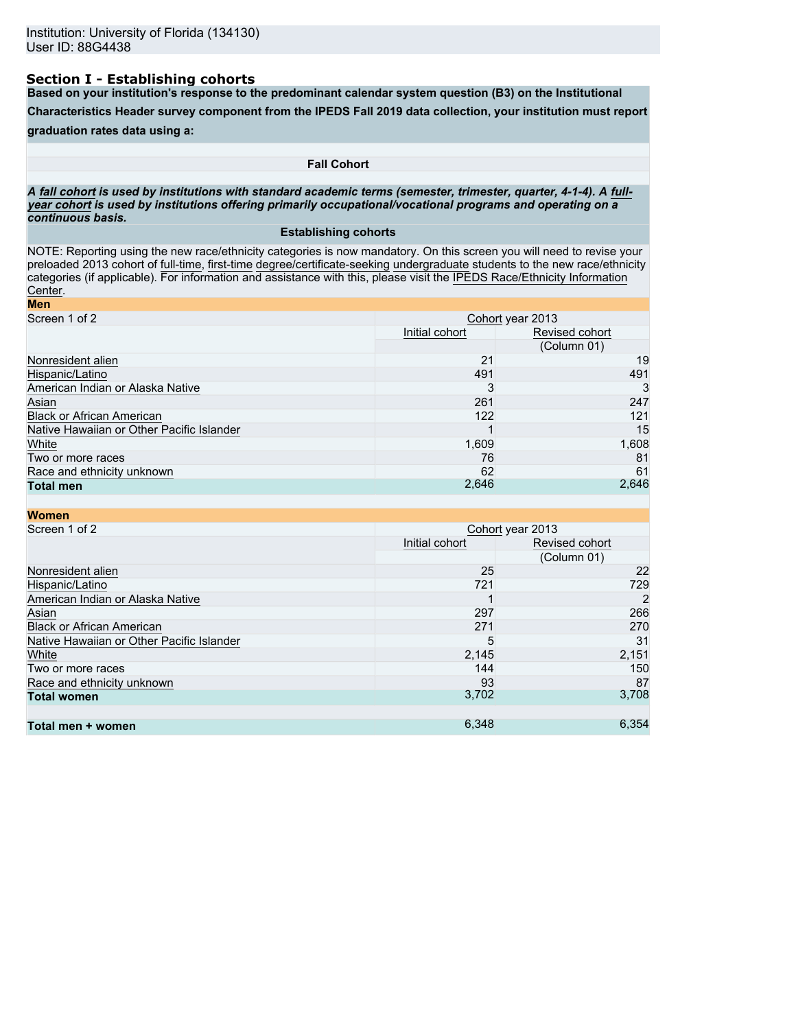# **Section I - Establishing cohorts**

**Based on your institution's response to the predominant calendar system question (B3) on the Institutional**

**Characteristics Header survey component from the IPEDS Fall 2019 data collection, your institution must report**

## **graduation rates data using a:**

### **Fall Cohort**

*A* **fall cohort** *is used by institutions with standard academic terms (semester, trimester, quarter, 4-1-4). A* **fullyear cohort** *is used by institutions offering primarily occupational/vocational programs and operating on a continuous basis.*

### **Establishing cohorts**

NOTE: Reporting using the new race/ethnicity categories is now mandatory. On this screen you will need to revise your preloaded 2013 cohort of full-time, first-time degree/certificate-seeking undergraduate students to the new race/ethnicity categories (if applicable). For information and assistance with this, please visit the [IPEDS Race/Ethnicity Information](https://nces.ed.gov/ipeds/report-your-data/resource-center-race-ethnicity) [Center](https://nces.ed.gov/ipeds/report-your-data/resource-center-race-ethnicity).

| Cohort year 2013 |                |  |
|------------------|----------------|--|
| Initial cohort   | Revised cohort |  |
|                  | (Column 01)    |  |
| 21               | 19             |  |
| 491              | 491            |  |
| 3                | 3              |  |
| 261              | 247            |  |
| 122              | 121            |  |
|                  | 15             |  |
| 1,609            | 1,608          |  |
| 76               | 81             |  |
| 62               | 61             |  |
|                  | 2,646          |  |
|                  | 2,646          |  |

| <b>Women</b>                              |                  |                |  |  |
|-------------------------------------------|------------------|----------------|--|--|
| Screen 1 of 2                             | Cohort year 2013 |                |  |  |
|                                           | Initial cohort   | Revised cohort |  |  |
|                                           |                  | (Column 01)    |  |  |
| Nonresident alien                         | 25               | 22             |  |  |
| Hispanic/Latino                           | 721              | 729            |  |  |
| American Indian or Alaska Native          |                  | 2              |  |  |
| Asian                                     | 297              | 266            |  |  |
| <b>Black or African American</b>          | 271              | 270            |  |  |
| Native Hawaiian or Other Pacific Islander | 5                | 31             |  |  |
| White                                     | 2,145            | 2,151          |  |  |
| Two or more races                         | 144              | 150            |  |  |
| Race and ethnicity unknown                | 93               | 87             |  |  |
| <b>Total women</b>                        | 3,702            | 3,708          |  |  |
|                                           |                  |                |  |  |
| Total men + women                         | 6,348            | 6.354          |  |  |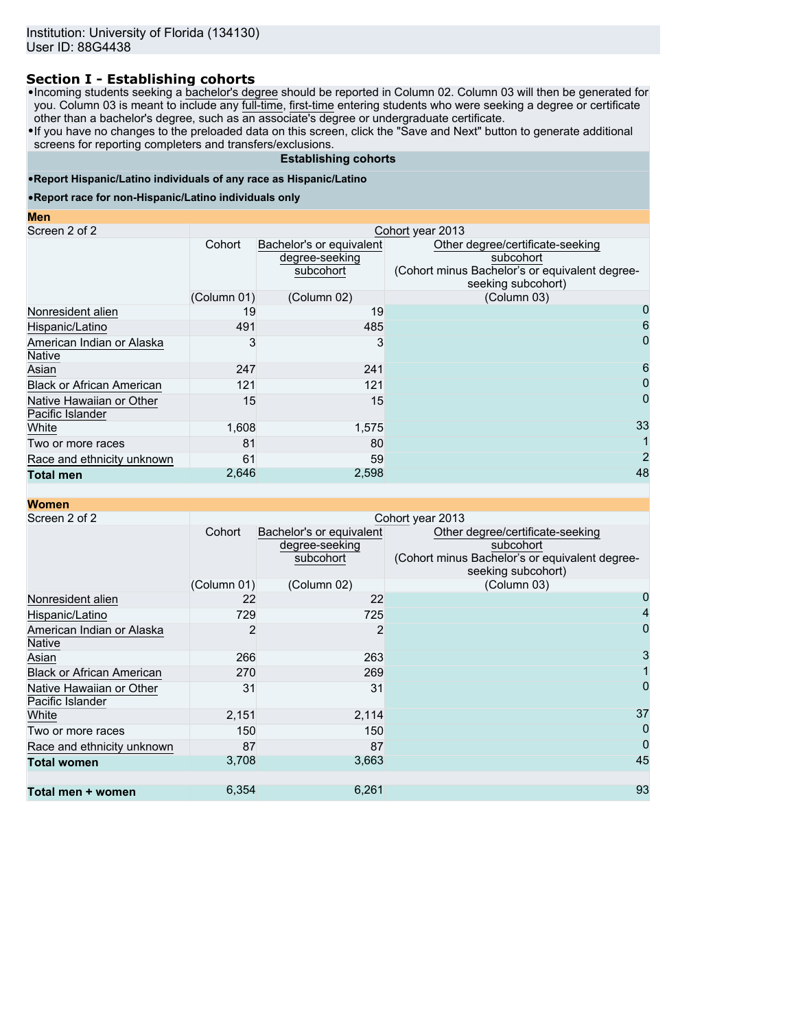# **Section I - Establishing cohorts**

•Incoming students seeking a bachelor's degree should be reported in Column 02. Column 03 will then be generated for you. Column 03 is meant to include any <u>full-time, first-time</u> entering students who were seeking a degree or certificate other than a bachelor's degree, such as an associate's degree or undergraduate certificate.

•If you have no changes to the preloaded data on this screen, click the "Save and Next" button to generate additional screens for reporting completers and transfers/exclusions.

## **Establishing cohorts**

## •**Report Hispanic/Latino individuals of any race as Hispanic/Latino**

#### •**Report race for non-Hispanic/Latino individuals only**

| w. |  |
|----|--|
|    |  |

| Screen 2 of 2                                | Cohort year 2013 |                                                         |                                                                                                                       |  |  |
|----------------------------------------------|------------------|---------------------------------------------------------|-----------------------------------------------------------------------------------------------------------------------|--|--|
|                                              | Cohort           | Bachelor's or equivalent<br>degree-seeking<br>subcohort | Other degree/certificate-seeking<br>subcohort<br>(Cohort minus Bachelor's or equivalent degree-<br>seeking subcohort) |  |  |
|                                              | (Column 01)      | (Column 02)                                             | (Column 03)                                                                                                           |  |  |
| Nonresident alien                            | 19               | 19                                                      | 0                                                                                                                     |  |  |
| Hispanic/Latino                              | 491              | 485                                                     | 6                                                                                                                     |  |  |
| American Indian or Alaska<br><b>Native</b>   |                  | 3                                                       | 0                                                                                                                     |  |  |
| Asian                                        | 247              | 241                                                     | 6                                                                                                                     |  |  |
| <b>Black or African American</b>             | 121              | 121                                                     | 0                                                                                                                     |  |  |
| Native Hawaiian or Other<br>Pacific Islander | 15               | 15                                                      |                                                                                                                       |  |  |
| White                                        | 1,608            | 1,575                                                   | 33                                                                                                                    |  |  |
| Two or more races                            | 81               | 80                                                      |                                                                                                                       |  |  |
| Race and ethnicity unknown                   | 61               | 59                                                      | $\overline{c}$                                                                                                        |  |  |
| <b>Total men</b>                             | 2,646            | 2,598                                                   | 48                                                                                                                    |  |  |

| <b>Women</b>                                 |             |                                                         |                                                                                                                       |  |  |  |
|----------------------------------------------|-------------|---------------------------------------------------------|-----------------------------------------------------------------------------------------------------------------------|--|--|--|
| Screen 2 of 2                                |             | Cohort year 2013                                        |                                                                                                                       |  |  |  |
|                                              | Cohort      | Bachelor's or equivalent<br>degree-seeking<br>subcohort | Other degree/certificate-seeking<br>subcohort<br>(Cohort minus Bachelor's or equivalent degree-<br>seeking subcohort) |  |  |  |
|                                              | (Column 01) | (Column 02)                                             | (Column 03)                                                                                                           |  |  |  |
| Nonresident alien                            | 22          | 22                                                      |                                                                                                                       |  |  |  |
| Hispanic/Latino                              | 729         | 725                                                     |                                                                                                                       |  |  |  |
| American Indian or Alaska<br><b>Native</b>   |             | 2                                                       | 0                                                                                                                     |  |  |  |
| Asian                                        | 266         | 263                                                     |                                                                                                                       |  |  |  |
| <b>Black or African American</b>             | 270         | 269                                                     |                                                                                                                       |  |  |  |
| Native Hawaiian or Other<br>Pacific Islander | 31          | 31                                                      | 0                                                                                                                     |  |  |  |
| White                                        | 2,151       | 2,114                                                   | 37                                                                                                                    |  |  |  |
| Two or more races                            | 150         | 150                                                     | $\Omega$                                                                                                              |  |  |  |
| Race and ethnicity unknown                   | 87          | 87                                                      | $\overline{0}$                                                                                                        |  |  |  |
| <b>Total women</b>                           | 3,708       | 3,663                                                   | 45                                                                                                                    |  |  |  |
| Total men + women                            | 6,354       | 6,261                                                   | 93                                                                                                                    |  |  |  |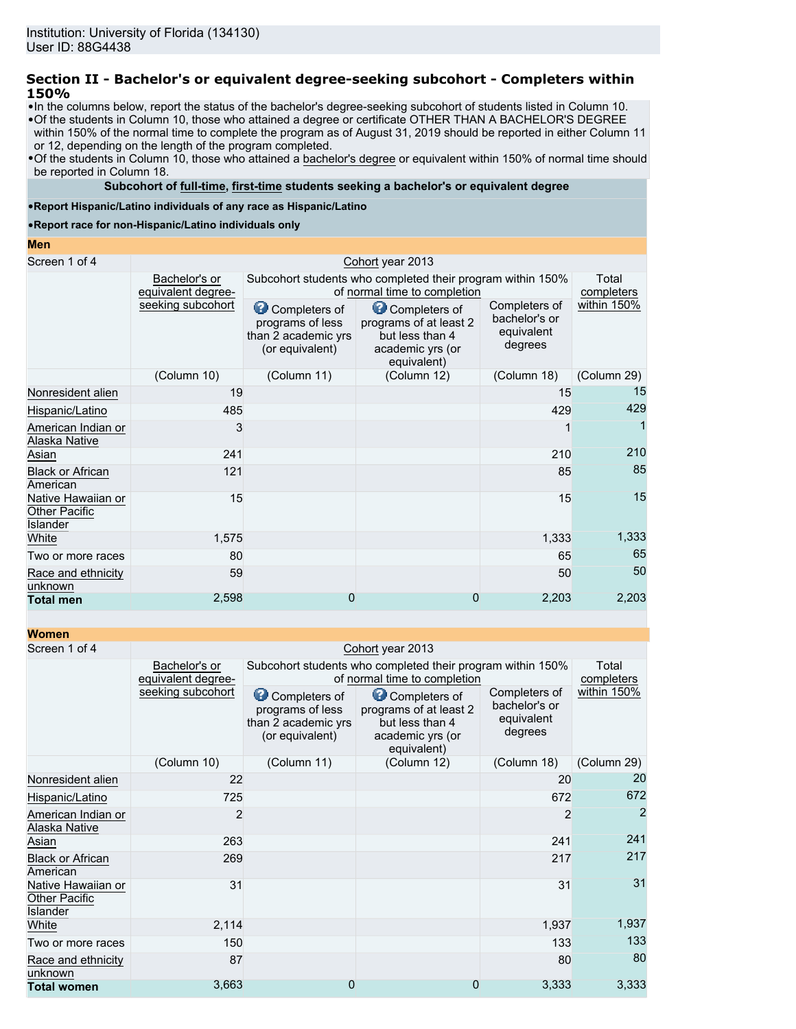# **Section II - Bachelor's or equivalent degree-seeking subcohort - Completers within 150%**

- •In the columns below, report the status of the bachelor's degree-seeking subcohort of students listed in Column 10.
- •Of the students in Column 10, those who attained a degree or certificate OTHER THAN A BACHELOR'S DEGREE within 150% of the normal time to complete the program as of August 31, 2019 should be reported in either Column 11 or 12, depending on the length of the program completed.
- •Of the students in Column 10, those who attained a bachelor's degree or equivalent within 150% of normal time should be reported in Column 18.

## **Subcohort of full-time, first-time students seeking a bachelor's or equivalent degree**

## •**Report Hispanic/Latino individuals of any race as Hispanic/Latino**

•**Report race for non-Hispanic/Latino individuals only**

### **Men**

| Screen 1 of 4                                                 |                                     | Cohort year 2013                                                            |                                                                                               |                                                         |                     |  |  |
|---------------------------------------------------------------|-------------------------------------|-----------------------------------------------------------------------------|-----------------------------------------------------------------------------------------------|---------------------------------------------------------|---------------------|--|--|
|                                                               | Bachelor's or<br>equivalent degree- |                                                                             | Subcohort students who completed their program within 150%<br>of normal time to completion    |                                                         | Total<br>completers |  |  |
|                                                               | seeking subcohort                   | Completers of<br>programs of less<br>than 2 academic yrs<br>(or equivalent) | Completers of<br>programs of at least 2<br>but less than 4<br>academic yrs (or<br>equivalent) | Completers of<br>bachelor's or<br>equivalent<br>degrees | within 150%         |  |  |
|                                                               | (Column 10)                         | (Column 11)                                                                 | (Column 12)                                                                                   | (Column 18)                                             | (Column 29)         |  |  |
| Nonresident alien                                             | 19                                  |                                                                             |                                                                                               | 15                                                      | 15                  |  |  |
| Hispanic/Latino                                               | 485                                 |                                                                             |                                                                                               | 429                                                     | 429                 |  |  |
| American Indian or<br>Alaska Native                           | 3                                   |                                                                             |                                                                                               |                                                         |                     |  |  |
| Asian                                                         | 241                                 |                                                                             |                                                                                               | 210                                                     | 210                 |  |  |
| <b>Black or African</b><br>American                           | 121                                 |                                                                             |                                                                                               | 85                                                      | 85                  |  |  |
| Native Hawaiian or<br><b>Other Pacific</b><br><b>Islander</b> | 15                                  |                                                                             |                                                                                               | 15                                                      | 15                  |  |  |
| White                                                         | 1,575                               |                                                                             |                                                                                               | 1,333                                                   | 1,333               |  |  |
| Two or more races                                             | 80                                  |                                                                             |                                                                                               | 65                                                      | 65                  |  |  |
| Race and ethnicity<br>unknown                                 | 59                                  |                                                                             |                                                                                               | 50                                                      | 50                  |  |  |
| <b>Total men</b>                                              | 2,598                               | 0                                                                           | 0                                                                                             | 2,203                                                   | 2,203               |  |  |

| <b>Women</b>                                           |                                                                                                  |             |                                                                                                                                                          |             |                     |
|--------------------------------------------------------|--------------------------------------------------------------------------------------------------|-------------|----------------------------------------------------------------------------------------------------------------------------------------------------------|-------------|---------------------|
| Screen 1 of 4                                          |                                                                                                  |             | Cohort year 2013                                                                                                                                         |             |                     |
|                                                        | Bachelor's or<br>equivalent degree-                                                              |             | Subcohort students who completed their program within 150%<br>of normal time to completion                                                               |             | Total<br>completers |
|                                                        | seeking subcohort<br>Completers of<br>programs of less<br>than 2 academic yrs<br>(or equivalent) |             | Completers of<br>Completers of<br>bachelor's or<br>programs of at least 2<br>equivalent<br>but less than 4<br>degrees<br>academic yrs (or<br>equivalent) |             | within 150%         |
|                                                        | (Column 10)                                                                                      | (Column 11) | (Column 12)                                                                                                                                              | (Column 18) | (Column 29)         |
| Nonresident alien                                      | 22                                                                                               |             |                                                                                                                                                          | 20          | 20                  |
| Hispanic/Latino                                        | 725                                                                                              |             |                                                                                                                                                          | 672         | 672                 |
| American Indian or<br>Alaska Native                    | 2                                                                                                |             |                                                                                                                                                          | 2           | $\overline{2}$      |
| Asian                                                  | 263                                                                                              |             |                                                                                                                                                          | 241         | 241                 |
| <b>Black or African</b><br>American                    | 269                                                                                              |             |                                                                                                                                                          | 217         | 217                 |
| Native Hawaiian or<br><b>Other Pacific</b><br>Islander | 31                                                                                               |             |                                                                                                                                                          | 31          | 31                  |
| White                                                  | 2,114                                                                                            |             |                                                                                                                                                          | 1,937       | 1,937               |
| Two or more races                                      | 150                                                                                              |             |                                                                                                                                                          | 133         | 133                 |
| Race and ethnicity<br>unknown                          | 87                                                                                               |             |                                                                                                                                                          | 80          | 80                  |
| <b>Total women</b>                                     | 3,663                                                                                            | 0           | 0                                                                                                                                                        | 3,333       | 3,333               |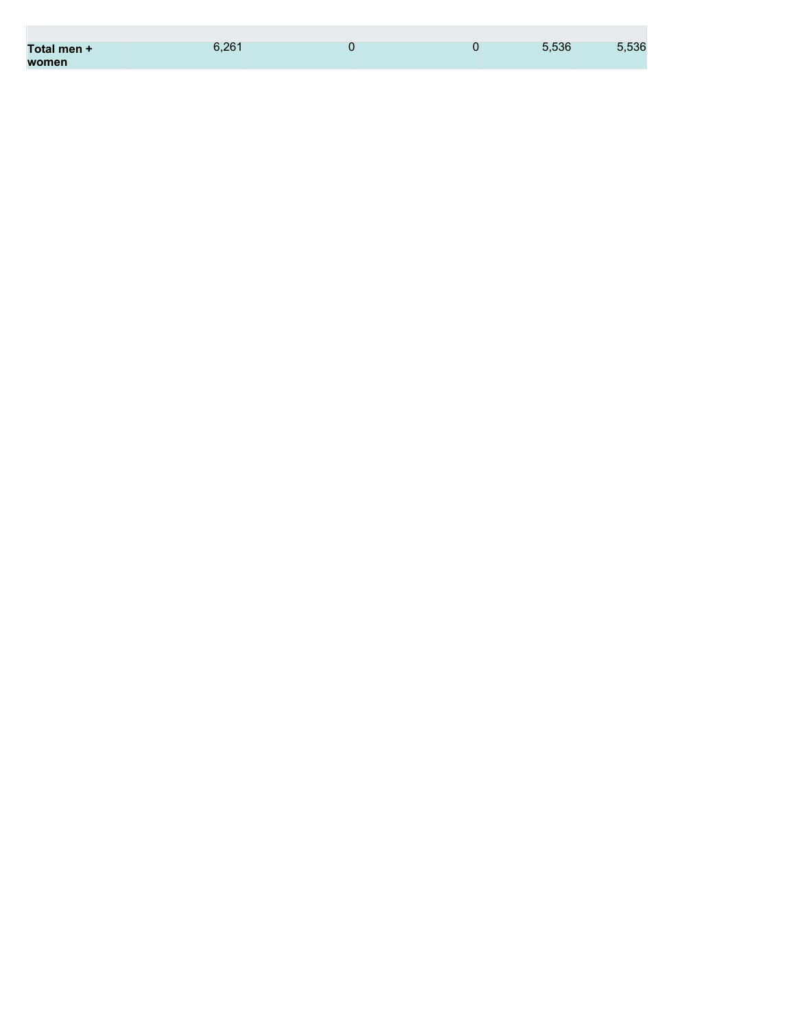| Total men + | 6.261 | O | 5.536 | 5,536 |
|-------------|-------|---|-------|-------|
| women       |       |   |       |       |

**College**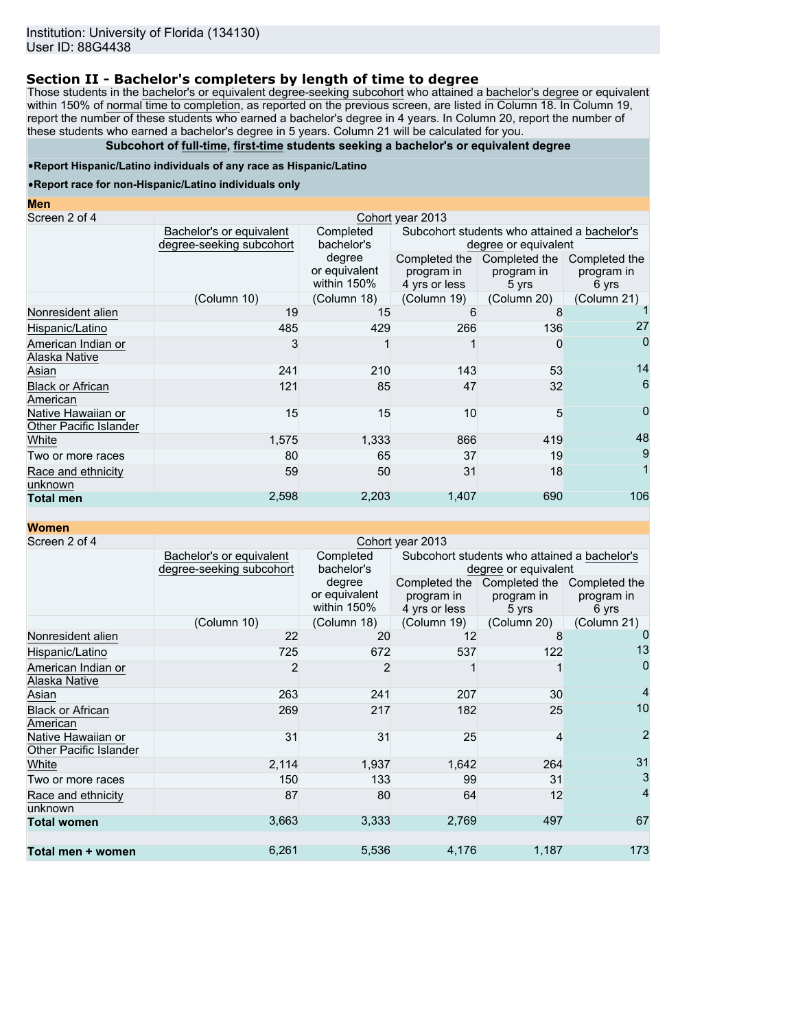# **Section II - Bachelor's completers by length of time to degree**

Those students in the bachelor's or equivalent degree-seeking subcohort who attained a bachelor's degree or equivalent within 150% of normal time to completion, as reported on the previous screen, are listed in Column 18. In Column 19, report the number of these students who earned a bachelor's degree in 4 years. In Column 20, report the number of these students who earned a bachelor's degree in 5 years. Column 21 will be calculated for you.

## **Subcohort of full-time, first-time students seeking a bachelor's or equivalent degree**

### •**Report Hispanic/Latino individuals of any race as Hispanic/Latino**

### •**Report race for non-Hispanic/Latino individuals only**

| <b>Men</b>                                   |                                                      |                                        |                                                                      |                                      |                                      |  |
|----------------------------------------------|------------------------------------------------------|----------------------------------------|----------------------------------------------------------------------|--------------------------------------|--------------------------------------|--|
| Screen 2 of 4                                |                                                      |                                        | Cohort year 2013                                                     |                                      |                                      |  |
|                                              | Bachelor's or equivalent<br>degree-seeking subcohort | Completed<br>bachelor's                | Subcohort students who attained a bachelor's<br>degree or equivalent |                                      |                                      |  |
|                                              |                                                      | degree<br>or equivalent<br>within 150% | Completed the<br>program in<br>4 yrs or less                         | Completed the<br>program in<br>5 yrs | Completed the<br>program in<br>6 yrs |  |
|                                              | (Column 10)                                          | (Column 18)                            | (Column 19)                                                          | (Column 20)                          | (Column 21)                          |  |
| Nonresident alien                            | 19                                                   | 15                                     | 6                                                                    |                                      |                                      |  |
| Hispanic/Latino                              | 485                                                  | 429                                    | 266                                                                  | 136                                  | 27                                   |  |
| American Indian or<br>Alaska Native          | 3                                                    |                                        |                                                                      |                                      | 0                                    |  |
| Asian                                        | 241                                                  | 210                                    | 143                                                                  | 53                                   | 14                                   |  |
| <b>Black or African</b><br>American          | 121                                                  | 85                                     | 47                                                                   | 32                                   | 6                                    |  |
| Native Hawaiian or<br>Other Pacific Islander | 15                                                   | 15                                     | 10                                                                   | 5                                    | 0                                    |  |
| White                                        | 1,575                                                | 1,333                                  | 866                                                                  | 419                                  | 48                                   |  |
| Two or more races                            | 80                                                   | 65                                     | 37                                                                   | 19                                   | 9                                    |  |
| Race and ethnicity<br>unknown                | 59                                                   | 50                                     | 31                                                                   | 18                                   |                                      |  |
| <b>Total men</b>                             | 2,598                                                | 2,203                                  | 1,407                                                                | 690                                  | 106                                  |  |

**Women**

| Screen 2 of 4                                | Cohort year 2013                                     |                                        |                                              |                                                                      |                                      |  |  |
|----------------------------------------------|------------------------------------------------------|----------------------------------------|----------------------------------------------|----------------------------------------------------------------------|--------------------------------------|--|--|
|                                              | Bachelor's or equivalent<br>degree-seeking subcohort | Completed<br>bachelor's                |                                              | Subcohort students who attained a bachelor's<br>degree or equivalent |                                      |  |  |
|                                              |                                                      | degree<br>or equivalent<br>within 150% | Completed the<br>program in<br>4 yrs or less | Completed the<br>program in<br>5 yrs                                 | Completed the<br>program in<br>6 yrs |  |  |
|                                              | (Column 10)                                          | (Column 18)                            | (Column 19)                                  | (Column 20)                                                          | (Column 21)                          |  |  |
| Nonresident alien                            | 22                                                   | 20                                     | 12                                           | 8                                                                    | 0                                    |  |  |
| Hispanic/Latino                              | 725                                                  | 672                                    | 537                                          | 122                                                                  | 13                                   |  |  |
| American Indian or<br>Alaska Native          | $\overline{2}$                                       | $\overline{2}$                         |                                              |                                                                      | 0                                    |  |  |
| Asian                                        | 263                                                  | 241                                    | 207                                          | 30                                                                   | $\overline{4}$                       |  |  |
| <b>Black or African</b><br>American          | 269                                                  | 217                                    | 182                                          | 25                                                                   | 10                                   |  |  |
| Native Hawaiian or<br>Other Pacific Islander | 31                                                   | 31                                     | 25                                           | 4                                                                    | $\overline{2}$                       |  |  |
| White                                        | 2,114                                                | 1,937                                  | 1,642                                        | 264                                                                  | 31                                   |  |  |
| Two or more races                            | 150                                                  | 133                                    | 99                                           | 31                                                                   | 3                                    |  |  |
| Race and ethnicity<br>unknown                | 87                                                   | 80                                     | 64                                           | 12                                                                   | $\overline{4}$                       |  |  |
| <b>Total women</b>                           | 3,663                                                | 3,333                                  | 2,769                                        | 497                                                                  | 67                                   |  |  |
| Total men + women                            | 6,261                                                | 5,536                                  | 4,176                                        | 1,187                                                                | 173                                  |  |  |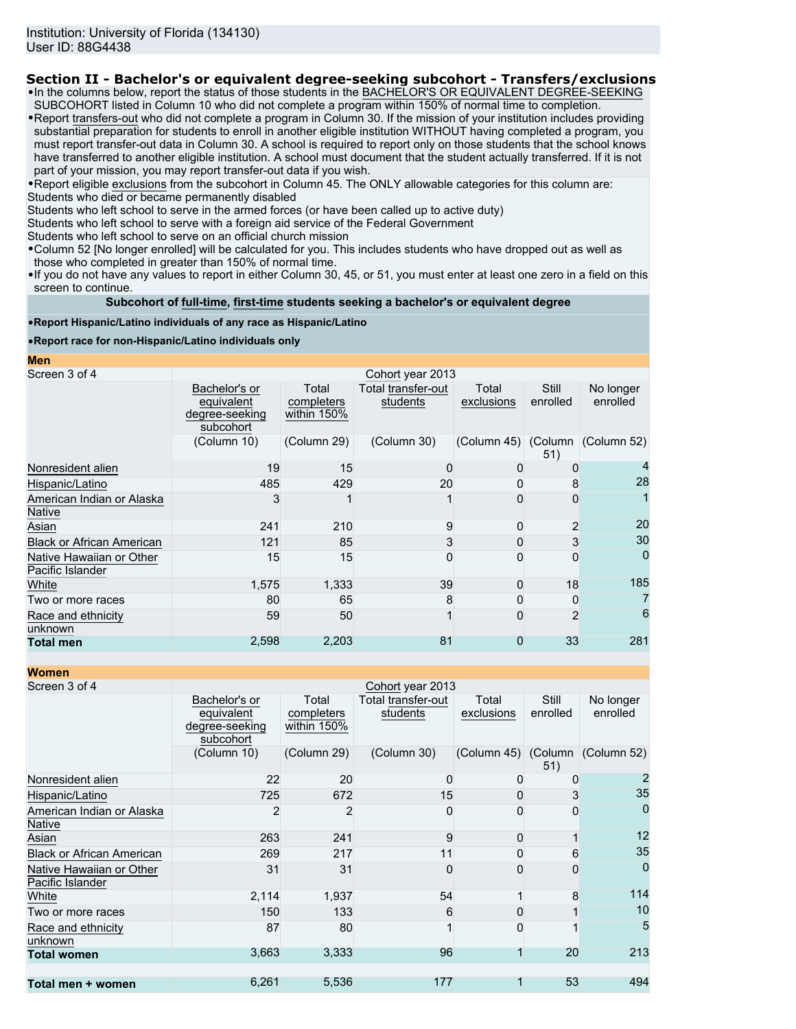# **Section II - Bachelor's or equivalent degree-seeking subcohort - Transfers/exclusions**

•In the columns below, report the status of those students in the BACHELOR'S OR EQUIVALENT DEGREE-SEEKING SUBCOHORT listed in Column 10 who did not complete a program within 150% of normal time to completion.

•Report transfers-out who did not complete a program in Column 30. If the mission of your institution includes providing substantial preparation for students to enroll in another eligible institution WITHOUT having completed a program, you must report transfer-out data in Column 30. A school is required to report only on those students that the school knows have transferred to another eligible institution. A school must document that the student actually transferred. If it is not part of your mission, you may report transfer-out data if you wish.

•Report eligible exclusions from the subcohort in Column 45. The ONLY allowable categories for this column are: Students who died or became permanently disabled

Students who left school to serve in the armed forces (or have been called up to active duty)

Students who left school to serve with a foreign aid service of the Federal Government

Students who left school to serve on an official church mission

•Column 52 [No longer enrolled] will be calculated for you. This includes students who have dropped out as well as those who completed in greater than 150% of normal time.

•If you do not have any values to report in either Column 30, 45, or 51, you must enter at least one zero in a field on this screen to continue.

### **Subcohort of full-time, first-time students seeking a bachelor's or equivalent degree**

### •**Report Hispanic/Latino individuals of any race as Hispanic/Latino**

## •**Report race for non-Hispanic/Latino individuals only**

**Men**

| Screen 3 of 4                                | Cohort year 2013                                           |                                    |                                |                     |                   |                       |
|----------------------------------------------|------------------------------------------------------------|------------------------------------|--------------------------------|---------------------|-------------------|-----------------------|
|                                              | Bachelor's or<br>equivalent<br>degree-seeking<br>subcohort | Total<br>completers<br>within 150% | Total transfer-out<br>students | Total<br>exclusions | Still<br>enrolled | No longer<br>enrolled |
|                                              | (Column 10)                                                | (Column 29)                        | (Column 30)                    | (Column 45) (Column | 51)               | (Column 52)           |
| Nonresident alien                            | 19                                                         | 15                                 |                                | 0                   |                   |                       |
| Hispanic/Latino                              | 485                                                        | 429                                | 20                             |                     | 8                 | 28                    |
| American Indian or Alaska<br><b>Native</b>   |                                                            |                                    |                                |                     | 0                 |                       |
| Asian                                        | 241                                                        | 210                                | 9                              |                     | $\overline{2}$    | 20                    |
| <b>Black or African American</b>             | 121                                                        | 85                                 | 3                              |                     |                   | 30                    |
| Native Hawaiian or Other<br>Pacific Islander | 15                                                         | 15                                 | ŋ                              |                     | 0                 | 0                     |
| White                                        | 1,575                                                      | 1,333                              | 39                             | U                   | 18                | 185                   |
| Two or more races                            | 80                                                         | 65                                 | 8                              |                     | 0                 | 7                     |
| Race and ethnicity<br>unknown                | 59                                                         | 50                                 |                                |                     | $\overline{2}$    | 6                     |
| <b>Total men</b>                             | 2,598                                                      | 2,203                              | 81                             | 0                   | 33                | 281                   |

**Women**

| <u>women</u>                                 |                                                            |                                    |                                |                     |                   |                       |
|----------------------------------------------|------------------------------------------------------------|------------------------------------|--------------------------------|---------------------|-------------------|-----------------------|
| Screen 3 of 4                                |                                                            |                                    | Cohort year 2013               |                     |                   |                       |
|                                              | Bachelor's or<br>equivalent<br>degree-seeking<br>subcohort | Total<br>completers<br>within 150% | Total transfer-out<br>students | Total<br>exclusions | Still<br>enrolled | No longer<br>enrolled |
|                                              | (Column 10)                                                | (Column 29)                        | (Column 30)                    | (Column 45) (Column | 51)               | (Column 52)           |
| Nonresident alien                            | 22                                                         | 20                                 | $\Omega$                       | 0                   | ŋ                 |                       |
| Hispanic/Latino                              | 725                                                        | 672                                | 15                             | Ω                   | 3                 | 35                    |
| American Indian or Alaska<br><b>Native</b>   | 2                                                          | 2                                  | $\mathbf 0$                    | O                   | 0                 | 0                     |
| Asian                                        | 263                                                        | 241                                | 9                              | $\Omega$            |                   | 12                    |
| <b>Black or African American</b>             | 269                                                        | 217                                | 11                             | 0                   | 6                 | 35                    |
| Native Hawaiian or Other<br>Pacific Islander | 31                                                         | 31                                 | $\mathbf{0}$                   | O                   | 0                 | $\Omega$              |
| White                                        | 2,114                                                      | 1,937                              | 54                             |                     | 8                 | 114                   |
| Two or more races                            | 150                                                        | 133                                | 6                              | O                   |                   | 10                    |
| Race and ethnicity<br>unknown                | 87                                                         | 80                                 |                                | O                   |                   | 5                     |
| <b>Total women</b>                           | 3,663                                                      | 3,333                              | 96                             |                     | 20                | 213                   |
| Total men + women                            | 6,261                                                      | 5,536                              | 177                            |                     | 53                | 494                   |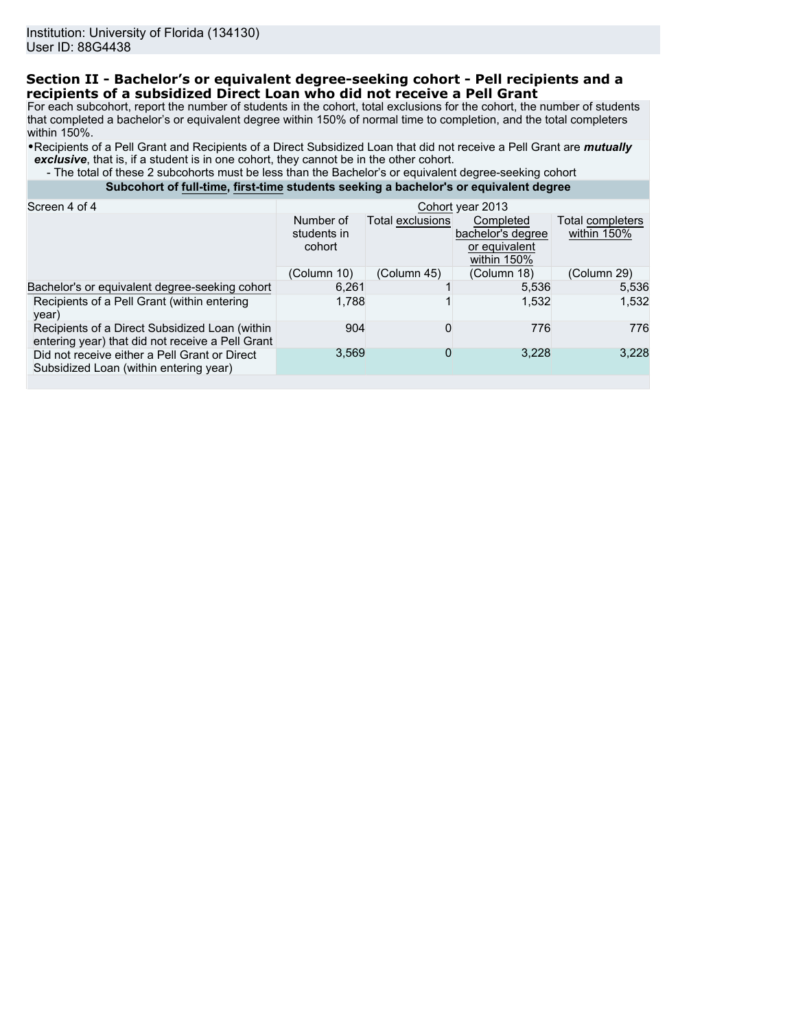# **Section II - Bachelor's or equivalent degree-seeking cohort - Pell recipients and a recipients of a subsidized Direct Loan who did not receive a Pell Grant**

For each subcohort, report the number of students in the cohort, total exclusions for the cohort, the number of students that completed a bachelor's or equivalent degree within 150% of normal time to completion, and the total completers within 150%.

•Recipients of a Pell Grant and Recipients of a Direct Subsidized Loan that did not receive a Pell Grant are *mutually exclusive*, that is, if a student is in one cohort, they cannot be in the other cohort.

 - The total of these 2 subcohorts must be less than the Bachelor's or equivalent degree-seeking cohort **Subcohort of full-time, first-time students seeking a bachelor's or equivalent degree**

| Screen 4 of 4                                                                                      | Cohort year 2013                   |                  |                                                                |                                 |  |
|----------------------------------------------------------------------------------------------------|------------------------------------|------------------|----------------------------------------------------------------|---------------------------------|--|
|                                                                                                    | Number of<br>students in<br>cohort | Total exclusions | Completed<br>bachelor's degree<br>or equivalent<br>within 150% | Total completers<br>within 150% |  |
|                                                                                                    | (Column 10)                        | (Column 45)      | (Column 18)                                                    | (Column 29)                     |  |
| Bachelor's or equivalent degree-seeking cohort                                                     | 6.261                              |                  | 5,536                                                          | 5,536                           |  |
| Recipients of a Pell Grant (within entering<br>year)                                               | 1.788                              |                  | 1,532                                                          | 1.532                           |  |
| Recipients of a Direct Subsidized Loan (within<br>entering year) that did not receive a Pell Grant | 904                                | 0                | 776                                                            | 776                             |  |
| Did not receive either a Pell Grant or Direct<br>Subsidized Loan (within entering year)            | 3,569                              | 0                | 3,228                                                          | 3,228                           |  |
|                                                                                                    |                                    |                  |                                                                |                                 |  |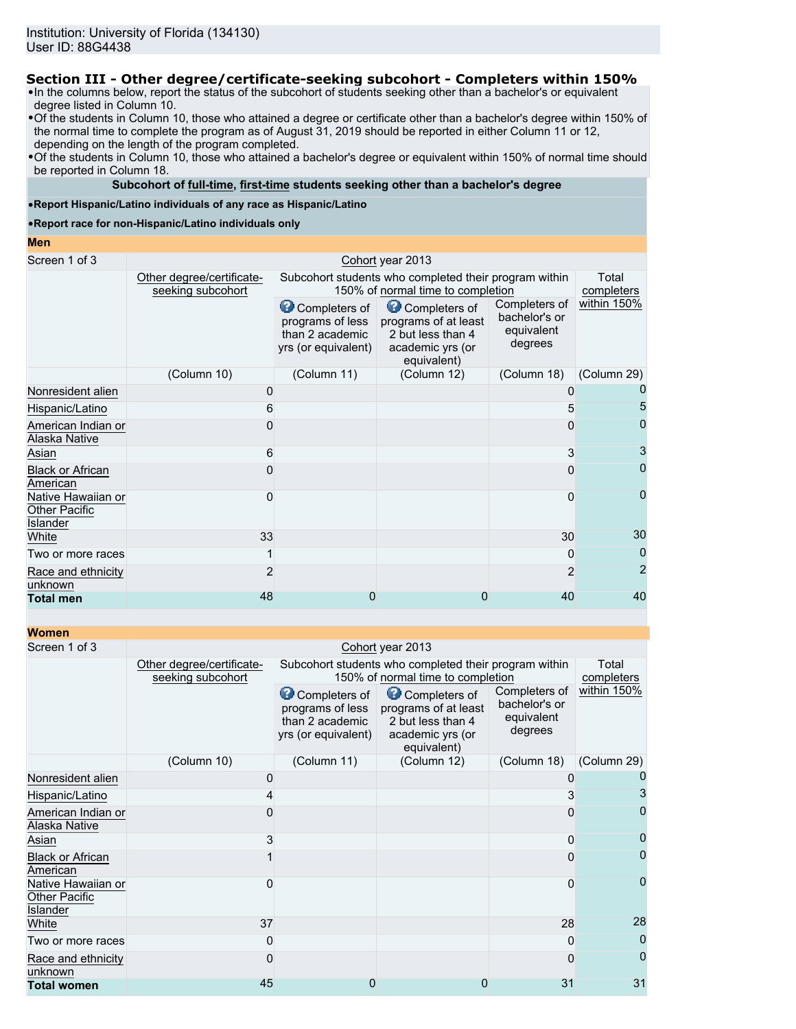# **Section III - Other degree/certificate-seeking subcohort - Completers within 150%**

•In the columns below, report the status of the subcohort of students seeking other than a bachelor's or equivalent degree listed in Column 10.

•Of the students in Column 10, those who attained a degree or certificate other than a bachelor's degree within 150% of the normal time to complete the program as of August 31, 2019 should be reported in either Column 11 or 12, depending on the length of the program completed.

•Of the students in Column 10, those who attained a bachelor's degree or equivalent within 150% of normal time should be reported in Column 18.

## **Subcohort of full-time, first-time students seeking other than a bachelor's degree**

### •**Report Hispanic/Latino individuals of any race as Hispanic/Latino**

#### •**Report race for non-Hispanic/Latino individuals only**

#### **Men**

| Screen 1 of 3                                   |                                                |                                                                                            | Cohort year 2013                                                                              |                                                         |                |
|-------------------------------------------------|------------------------------------------------|--------------------------------------------------------------------------------------------|-----------------------------------------------------------------------------------------------|---------------------------------------------------------|----------------|
|                                                 | Other degree/certificate-<br>seeking subcohort | Subcohort students who completed their program within<br>150% of normal time to completion |                                                                                               |                                                         |                |
|                                                 |                                                | Completers of<br>programs of less<br>than 2 academic<br>yrs (or equivalent)                | Completers of<br>programs of at least<br>2 but less than 4<br>academic yrs (or<br>equivalent) | Completers of<br>bachelor's or<br>equivalent<br>degrees | within 150%    |
|                                                 | (Column 10)                                    | (Column 11)                                                                                | (Column 12)                                                                                   | (Column 18)                                             | (Column 29)    |
| Nonresident alien                               | 0                                              |                                                                                            |                                                                                               |                                                         |                |
| Hispanic/Latino                                 | 6                                              |                                                                                            |                                                                                               |                                                         | 5              |
| American Indian or<br><b>Alaska Native</b>      |                                                |                                                                                            |                                                                                               |                                                         | 0              |
| Asian                                           | 6                                              |                                                                                            |                                                                                               |                                                         | 3              |
| <b>Black or African</b><br>American             |                                                |                                                                                            |                                                                                               |                                                         | $\mathbf 0$    |
| Native Hawaiian or<br>Other Pacific<br>Islander |                                                |                                                                                            |                                                                                               | 0                                                       | $\mathbf 0$    |
| White                                           | 33                                             |                                                                                            |                                                                                               | 30                                                      | 30             |
| Two or more races                               |                                                |                                                                                            |                                                                                               | 0                                                       | 0              |
| Race and ethnicity<br>unknown                   |                                                |                                                                                            |                                                                                               | $\overline{2}$                                          | $\overline{2}$ |
| <b>Total men</b>                                | 48                                             | O                                                                                          |                                                                                               | 40                                                      | 40             |

**Women**

| <u>WUILLEIL</u>                                               |                                                |                                                                             |                                                                                               |                                                         |             |  |  |  |
|---------------------------------------------------------------|------------------------------------------------|-----------------------------------------------------------------------------|-----------------------------------------------------------------------------------------------|---------------------------------------------------------|-------------|--|--|--|
| Screen 1 of 3                                                 |                                                | Cohort year 2013                                                            |                                                                                               |                                                         |             |  |  |  |
|                                                               | Other degree/certificate-<br>seeking subcohort |                                                                             | Subcohort students who completed their program within<br>150% of normal time to completion    |                                                         |             |  |  |  |
|                                                               |                                                | Completers of<br>programs of less<br>than 2 academic<br>yrs (or equivalent) | Completers of<br>programs of at least<br>2 but less than 4<br>academic yrs (or<br>equivalent) | Completers of<br>bachelor's or<br>equivalent<br>degrees | within 150% |  |  |  |
|                                                               | (Column 10)                                    | (Column 11)                                                                 | (Column 12)                                                                                   | (Column 18)                                             | (Column 29) |  |  |  |
| Nonresident alien                                             | 0                                              |                                                                             |                                                                                               |                                                         |             |  |  |  |
| Hispanic/Latino                                               |                                                |                                                                             |                                                                                               |                                                         | 3           |  |  |  |
| American Indian or<br>Alaska Native                           |                                                |                                                                             |                                                                                               |                                                         | 0           |  |  |  |
| Asian                                                         | 3                                              |                                                                             |                                                                                               | 0                                                       |             |  |  |  |
| <b>Black or African</b><br>American                           |                                                |                                                                             |                                                                                               | 0                                                       | 0           |  |  |  |
| Native Hawaiian or<br><b>Other Pacific</b><br><b>Islander</b> | 0                                              |                                                                             |                                                                                               | 0                                                       | $\Omega$    |  |  |  |
| White                                                         | 37                                             |                                                                             |                                                                                               | 28                                                      | 28          |  |  |  |
| Two or more races                                             |                                                |                                                                             |                                                                                               | 0                                                       | 0           |  |  |  |
| Race and ethnicity<br>unknown                                 |                                                |                                                                             |                                                                                               | 0                                                       | 0           |  |  |  |
| <b>Total women</b>                                            | 45                                             |                                                                             |                                                                                               | 31                                                      | 31          |  |  |  |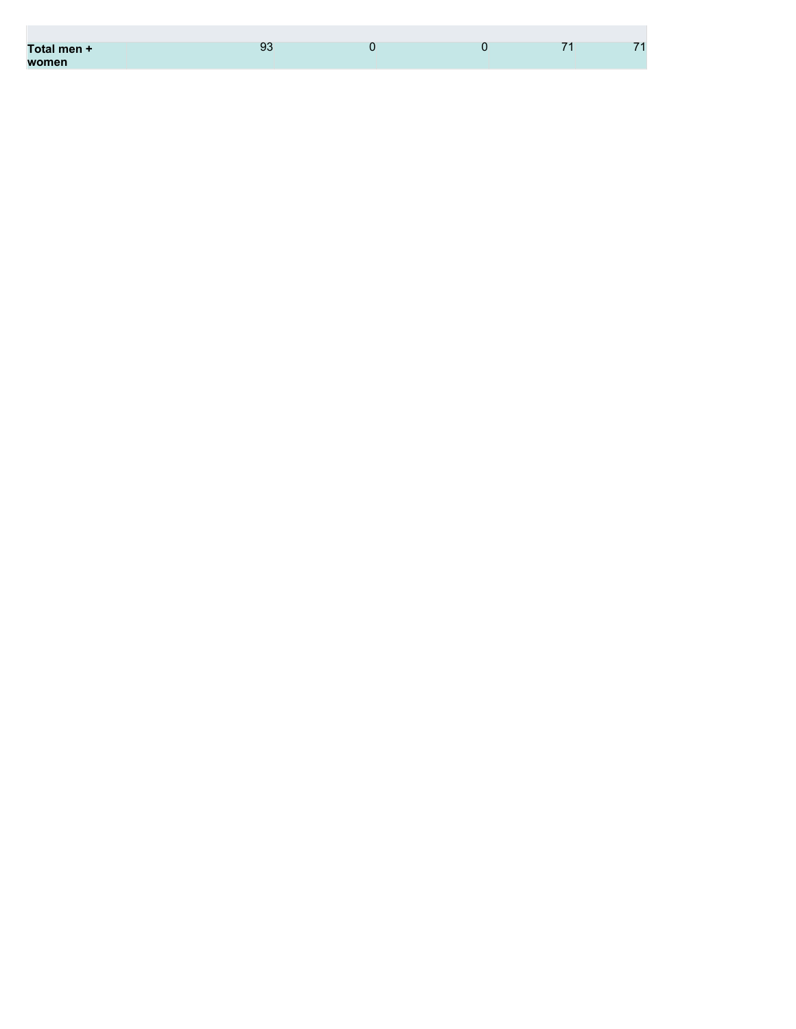| Total men + | 93 |  | $\overline{\phantom{a}}$ | 71 |
|-------------|----|--|--------------------------|----|
| women       |    |  |                          |    |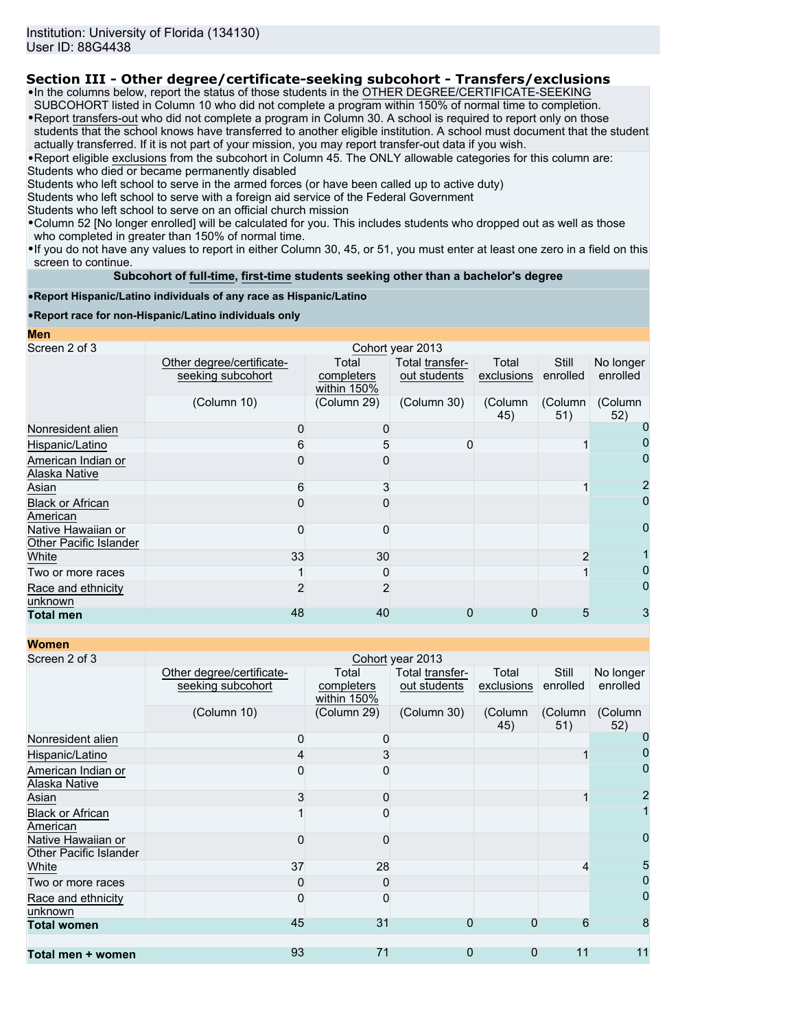# **Section III - Other degree/certificate-seeking subcohort - Transfers/exclusions**

•In the columns below, report the status of those students in the OTHER DEGREE/CERTIFICATE-SEEKING SUBCOHORT listed in Column 10 who did not complete a program within 150% of normal time to completion.

•Report transfers-out who did not complete a program in Column 30. A school is required to report only on those students that the school knows have transferred to another eligible institution. A school must document that the student actually transferred. If it is not part of your mission, you may report transfer-out data if you wish.

•Report eligible exclusions from the subcohort in Column 45. The ONLY allowable categories for this column are: Students who died or became permanently disabled

Students who left school to serve in the armed forces (or have been called up to active duty)

Students who left school to serve with a foreign aid service of the Federal Government

Students who left school to serve on an official church mission

•Column 52 [No longer enrolled] will be calculated for you. This includes students who dropped out as well as those who completed in greater than 150% of normal time.

•If you do not have any values to report in either Column 30, 45, or 51, you must enter at least one zero in a field on this screen to continue.

## **Subcohort of full-time, first-time students seeking other than a bachelor's degree**

•**Report Hispanic/Latino individuals of any race as Hispanic/Latino**

## •**Report race for non-Hispanic/Latino individuals only**

| <b>Men</b>                                   |                                                |                                    |                                 |                     |                   |                       |
|----------------------------------------------|------------------------------------------------|------------------------------------|---------------------------------|---------------------|-------------------|-----------------------|
| Screen 2 of 3                                |                                                |                                    | Cohort year 2013                |                     |                   |                       |
|                                              | Other degree/certificate-<br>seeking subcohort | Total<br>completers<br>within 150% | Total transfer-<br>out students | Total<br>exclusions | Still<br>enrolled | No longer<br>enrolled |
|                                              | (Column 10)                                    | (Column 29)                        | (Column 30)                     | (Column<br>45)      | (Column<br>51)    | (Column<br>52)        |
| Nonresident alien                            |                                                |                                    |                                 |                     |                   |                       |
| Hispanic/Latino                              |                                                | 5                                  | 0                               |                     |                   |                       |
| American Indian or<br>Alaska Native          |                                                |                                    |                                 |                     |                   | 0                     |
| Asian                                        | 6                                              | 3                                  |                                 |                     |                   | 2                     |
| <b>Black or African</b><br>American          |                                                |                                    |                                 |                     |                   | 0                     |
| Native Hawaiian or<br>Other Pacific Islander |                                                | ი                                  |                                 |                     |                   | 0                     |
| White                                        | 33                                             | 30                                 |                                 |                     | $\overline{2}$    |                       |
| Two or more races                            |                                                | 0                                  |                                 |                     |                   | 0                     |
| Race and ethnicity<br>unknown                |                                                | 2                                  |                                 |                     |                   | 0                     |
| <b>Total men</b>                             | 48                                             | 40                                 |                                 |                     | 5                 | 3                     |

| <b>Women</b>                                 |                                                |                                    |                                 |                     |                   |                       |
|----------------------------------------------|------------------------------------------------|------------------------------------|---------------------------------|---------------------|-------------------|-----------------------|
| Screen 2 of 3                                |                                                |                                    | Cohort year 2013                |                     |                   |                       |
|                                              | Other degree/certificate-<br>seeking subcohort | Total<br>completers<br>within 150% | Total transfer-<br>out students | Total<br>exclusions | Still<br>enrolled | No longer<br>enrolled |
|                                              | (Column 10)                                    | (Column 29)                        | (Column 30)                     | (Column<br>45)      | (Column<br>51)    | (Column<br>52)        |
| Nonresident alien                            | 0                                              | 0                                  |                                 |                     |                   | 0                     |
| Hispanic/Latino                              |                                                | 3                                  |                                 |                     |                   | O                     |
| American Indian or<br>Alaska Native          |                                                |                                    |                                 |                     |                   | 0                     |
| Asian                                        | 3                                              | 0                                  |                                 |                     |                   | $\overline{2}$        |
| <b>Black or African</b><br>American          |                                                |                                    |                                 |                     |                   |                       |
| Native Hawaiian or<br>Other Pacific Islander | 0                                              | O                                  |                                 |                     |                   | 0                     |
| White                                        | 37                                             | 28                                 |                                 |                     | 4                 | 5                     |
| Two or more races                            | 0                                              | 0                                  |                                 |                     |                   | 0                     |
| Race and ethnicity<br>unknown                | O                                              | O                                  |                                 |                     |                   | 0                     |
| <b>Total women</b>                           | 45                                             | 31                                 | 0                               | $\Omega$            | 6                 | 8                     |
| Total men + women                            | 93                                             | 71                                 | 0                               | 0                   | 11                | 11                    |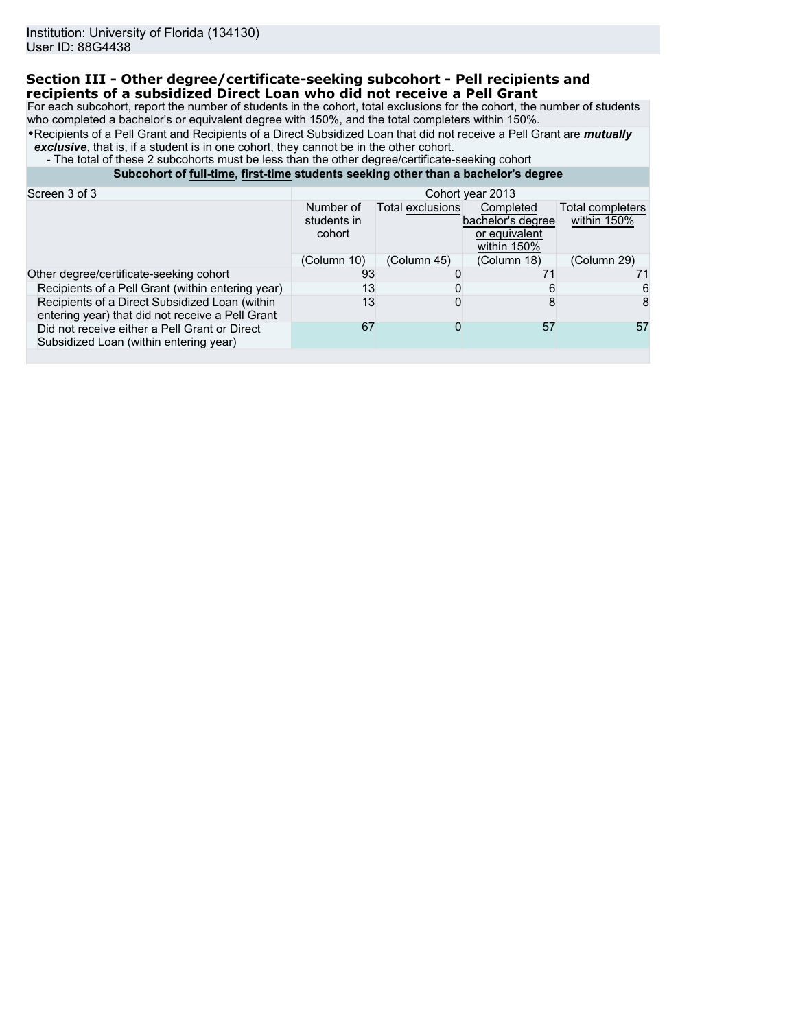# **Section III - Other degree/certificate-seeking subcohort - Pell recipients and recipients of a subsidized Direct Loan who did not receive a Pell Grant**

For each subcohort, report the number of students in the cohort, total exclusions for the cohort, the number of students who completed a bachelor's or equivalent degree with 150%, and the total completers within 150%.

•Recipients of a Pell Grant and Recipients of a Direct Subsidized Loan that did not receive a Pell Grant are *mutually exclusive*, that is, if a student is in one cohort, they cannot be in the other cohort.

- The total of these 2 subcohorts must be less than the other degree/certificate-seeking cohort

# **Subcohort of full-time, first-time students seeking other than a bachelor's degree**

| Screen 3 of 3                                                                                      | Cohort year 2013                   |                  |                                                                |                                 |
|----------------------------------------------------------------------------------------------------|------------------------------------|------------------|----------------------------------------------------------------|---------------------------------|
|                                                                                                    | Number of<br>students in<br>cohort | Total exclusions | Completed<br>bachelor's degree<br>or equivalent<br>within 150% | Total completers<br>within 150% |
|                                                                                                    | (Column 10)                        | (Column 45)      | (Column 18)                                                    | (Column 29)                     |
| Other degree/certificate-seeking cohort                                                            | 93                                 |                  | 71                                                             |                                 |
| Recipients of a Pell Grant (within entering year)                                                  | 13                                 |                  |                                                                | 6                               |
| Recipients of a Direct Subsidized Loan (within<br>entering year) that did not receive a Pell Grant | 13                                 |                  |                                                                | 8                               |
| Did not receive either a Pell Grant or Direct<br>Subsidized Loan (within entering year)            | 67                                 |                  | 57                                                             | 57                              |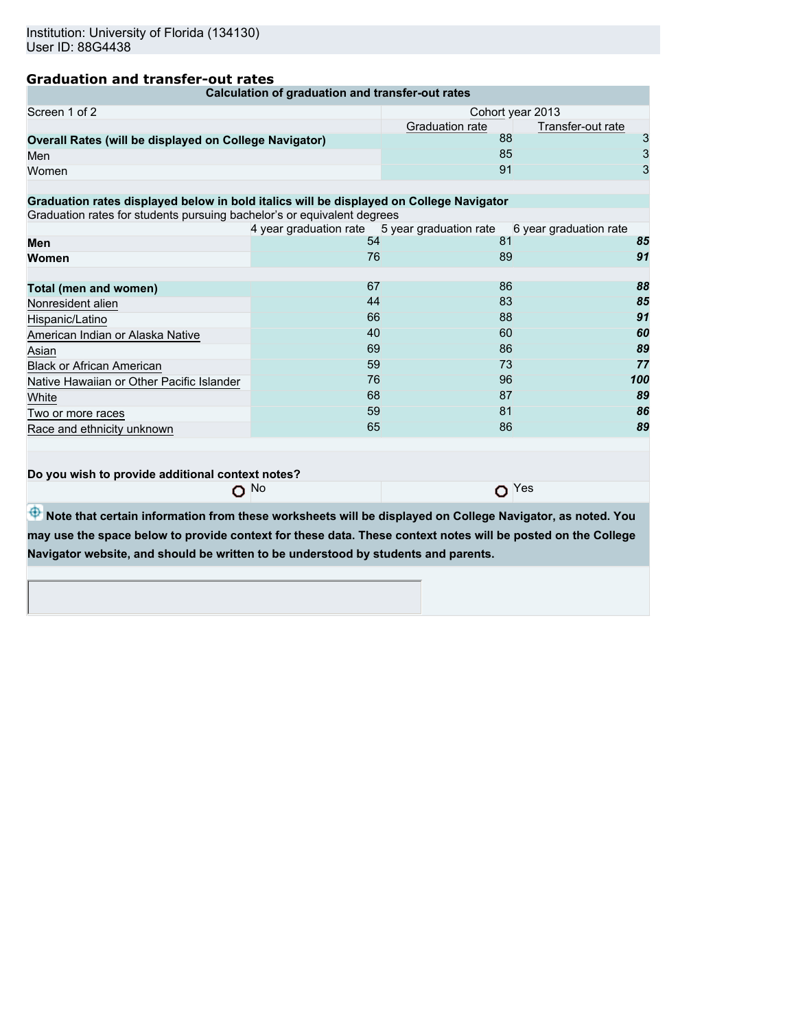# **Graduation and transfer-out rates**

|                                                                                                              | Calculation of graduation and transfer-out rates |                                                                            |                  |
|--------------------------------------------------------------------------------------------------------------|--------------------------------------------------|----------------------------------------------------------------------------|------------------|
| Screen 1 of 2                                                                                                |                                                  |                                                                            | Cohort year 2013 |
|                                                                                                              | Graduation rate                                  | Transfer-out rate                                                          |                  |
| Overall Rates (will be displayed on College Navigator)                                                       |                                                  | 88                                                                         | 3                |
| Men                                                                                                          |                                                  | 85                                                                         | 3                |
| Women                                                                                                        |                                                  | 91                                                                         | 3                |
|                                                                                                              |                                                  |                                                                            |                  |
| Graduation rates displayed below in bold italics will be displayed on College Navigator                      |                                                  |                                                                            |                  |
| Graduation rates for students pursuing bachelor's or equivalent degrees                                      |                                                  |                                                                            |                  |
| Men                                                                                                          | 54                                               | 4 year graduation rate 5 year graduation rate 6 year graduation rate<br>81 | 85               |
| Women                                                                                                        | 76                                               | 89                                                                         | 91               |
|                                                                                                              |                                                  |                                                                            |                  |
| Total (men and women)                                                                                        | 67                                               | 86                                                                         | 88               |
| Nonresident alien                                                                                            | 44                                               | 83                                                                         | 85               |
| Hispanic/Latino                                                                                              | 66                                               | 88                                                                         | 91               |
| American Indian or Alaska Native                                                                             | 40                                               | 60                                                                         | 60               |
| Asian                                                                                                        | 69                                               | 86                                                                         | 89               |
| <b>Black or African American</b>                                                                             | 59                                               | 73                                                                         | 77               |
| Native Hawaiian or Other Pacific Islander                                                                    | 76                                               | 96                                                                         | 100              |
| White                                                                                                        | 68                                               | 87                                                                         | 89               |
| Two or more races                                                                                            | 59                                               | 81                                                                         | 86               |
| Race and ethnicity unknown                                                                                   | 65                                               | 86                                                                         | 89               |
|                                                                                                              |                                                  |                                                                            |                  |
|                                                                                                              |                                                  |                                                                            |                  |
| Do you wish to provide additional context notes?                                                             |                                                  |                                                                            |                  |
|                                                                                                              | $O$ No                                           |                                                                            | $O$ Yes          |
|                                                                                                              |                                                  |                                                                            |                  |
| Note that certain information from these worksheets will be displayed on College Navigator, as noted. You    |                                                  |                                                                            |                  |
| may use the space below to provide context for these data. These context notes will be posted on the College |                                                  |                                                                            |                  |
| Navigator website, and should be written to be understood by students and parents.                           |                                                  |                                                                            |                  |
|                                                                                                              |                                                  |                                                                            |                  |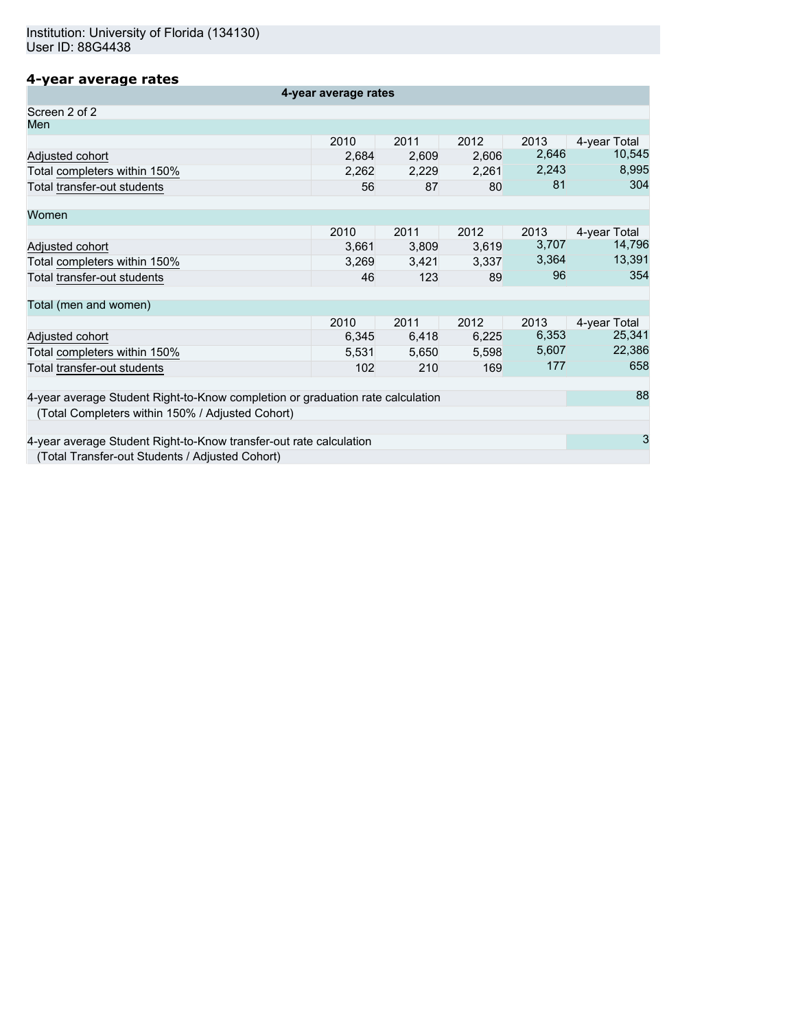# **4-year average rates**

| 4-year average rates                                                           |       |       |       |       |              |  |
|--------------------------------------------------------------------------------|-------|-------|-------|-------|--------------|--|
| Screen 2 of 2                                                                  |       |       |       |       |              |  |
| Men                                                                            |       |       |       |       |              |  |
|                                                                                | 2010  | 2011  | 2012  | 2013  | 4-year Total |  |
| Adjusted cohort                                                                | 2,684 | 2,609 | 2,606 | 2,646 | 10,545       |  |
| Total completers within 150%                                                   | 2,262 | 2,229 | 2,261 | 2,243 | 8,995        |  |
| Total transfer-out students                                                    | 56    | 87    | 80    | 81    | 304          |  |
| Women                                                                          |       |       |       |       |              |  |
|                                                                                | 2010  | 2011  | 2012  | 2013  | 4-year Total |  |
| Adjusted cohort                                                                | 3,661 | 3,809 | 3,619 | 3,707 | 14,796       |  |
| Total completers within 150%                                                   | 3,269 | 3,421 | 3,337 | 3,364 | 13,391       |  |
| Total transfer-out students                                                    | 46    | 123   | 89    | 96    | 354          |  |
| Total (men and women)                                                          |       |       |       |       |              |  |
|                                                                                | 2010  | 2011  | 2012  | 2013  | 4-year Total |  |
| Adjusted cohort                                                                | 6,345 | 6,418 | 6,225 | 6,353 | 25,341       |  |
| Total completers within 150%                                                   | 5,531 | 5,650 | 5,598 | 5,607 | 22,386       |  |
| Total transfer-out students                                                    | 102   | 210   | 169   | 177   | 658          |  |
| 4-year average Student Right-to-Know completion or graduation rate calculation |       |       |       |       | 88           |  |
| (Total Completers within 150% / Adjusted Cohort)                               |       |       |       |       |              |  |
|                                                                                |       |       |       |       |              |  |
| 4-year average Student Right-to-Know transfer-out rate calculation             |       |       |       |       | 3            |  |
| (Total Transfer-out Students / Adjusted Cohort)                                |       |       |       |       |              |  |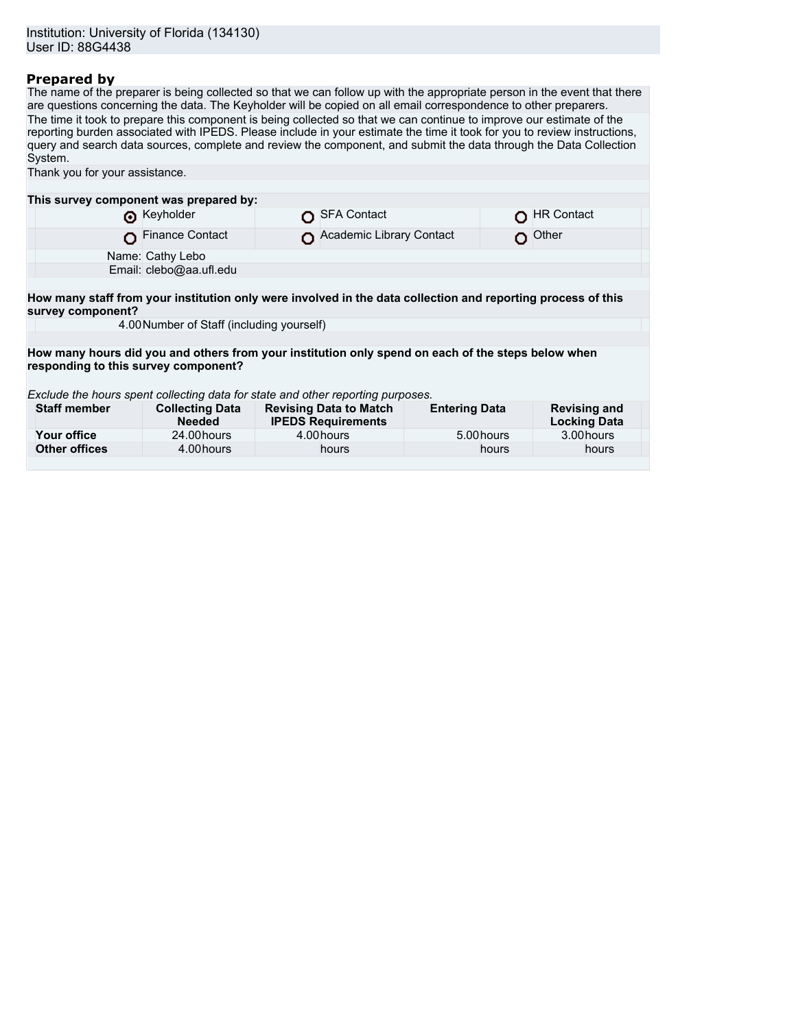# **Prepared by**

The name of the preparer is being collected so that we can follow up with the appropriate person in the event that there are questions concerning the data. The Keyholder will be copied on all email correspondence to other preparers. The time it took to prepare this component is being collected so that we can continue to improve our estimate of the reporting burden associated with IPEDS. Please include in your estimate the time it took for you to review instructions, query and search data sources, complete and review the component, and submit the data through the Data Collection System.

| Thank you for your assistance.                                                                                                    |                                           |  |                                                            |                      |  |                                            |
|-----------------------------------------------------------------------------------------------------------------------------------|-------------------------------------------|--|------------------------------------------------------------|----------------------|--|--------------------------------------------|
|                                                                                                                                   |                                           |  |                                                            |                      |  |                                            |
| This survey component was prepared by:                                                                                            |                                           |  |                                                            |                      |  |                                            |
|                                                                                                                                   | Reyholder                                 |  | <b>SFA Contact</b>                                         |                      |  | <b>HR Contact</b>                          |
|                                                                                                                                   | <b>Finance Contact</b>                    |  | Academic Library Contact                                   |                      |  | Other                                      |
|                                                                                                                                   | Name: Cathy Lebo                          |  |                                                            |                      |  |                                            |
|                                                                                                                                   | Email: clebo@aa.ufl.edu                   |  |                                                            |                      |  |                                            |
|                                                                                                                                   |                                           |  |                                                            |                      |  |                                            |
| How many staff from your institution only were involved in the data collection and reporting process of this<br>survey component? |                                           |  |                                                            |                      |  |                                            |
|                                                                                                                                   | 4.00 Number of Staff (including yourself) |  |                                                            |                      |  |                                            |
|                                                                                                                                   |                                           |  |                                                            |                      |  |                                            |
| How many hours did you and others from your institution only spend on each of the steps below when                                |                                           |  |                                                            |                      |  |                                            |
| responding to this survey component?                                                                                              |                                           |  |                                                            |                      |  |                                            |
|                                                                                                                                   |                                           |  |                                                            |                      |  |                                            |
| Exclude the hours spent collecting data for state and other reporting purposes.                                                   |                                           |  |                                                            |                      |  |                                            |
| <b>Staff member</b>                                                                                                               | <b>Collecting Data</b><br><b>Needed</b>   |  | <b>Revising Data to Match</b><br><b>IPEDS Requirements</b> | <b>Entering Data</b> |  | <b>Revising and</b><br><b>Locking Data</b> |
| Your office                                                                                                                       | 24.00 hours                               |  | 4.00 hours                                                 | 5.00 hours           |  | 3.00 hours                                 |
| <b>Other offices</b>                                                                                                              | 4.00 hours                                |  | hours                                                      | hours                |  | hours                                      |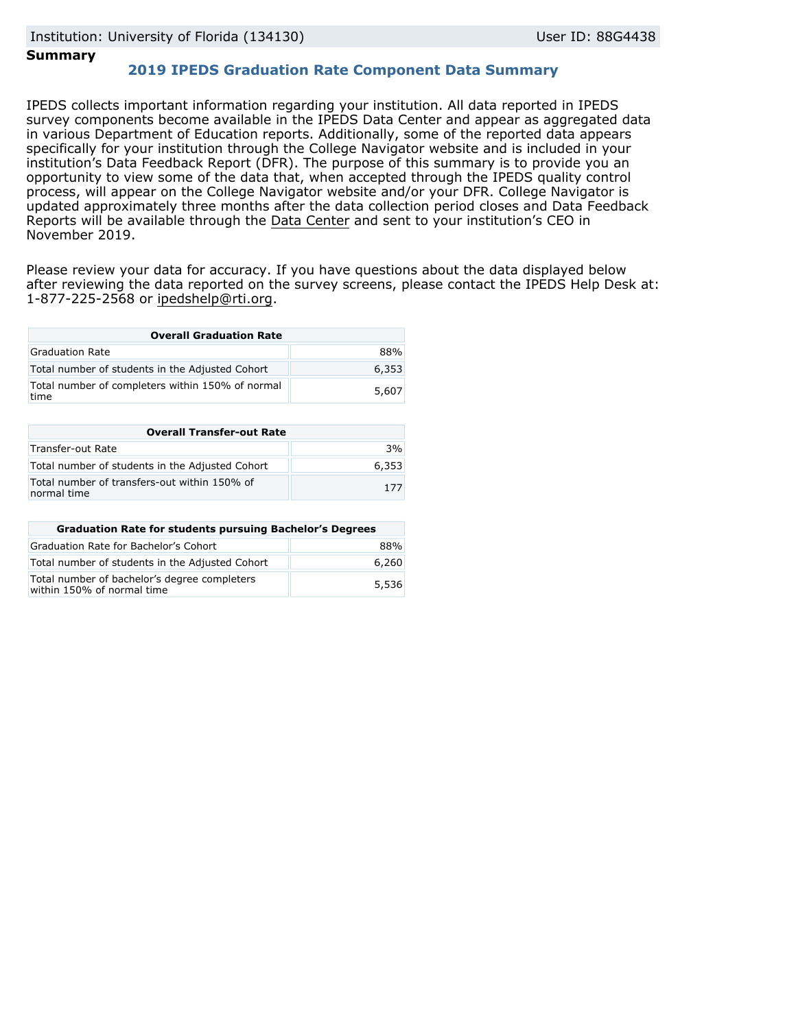# **Summary**

# **2019 IPEDS Graduation Rate Component Data Summary**

IPEDS collects important information regarding your institution. All data reported in IPEDS survey components become available in the IPEDS Data Center and appear as aggregated data in various Department of Education reports. Additionally, some of the reported data appears specifically for your institution through the College Navigator website and is included in your institution's Data Feedback Report (DFR). The purpose of this summary is to provide you an opportunity to view some of the data that, when accepted through the IPEDS quality control process, will appear on the College Navigator website and/or your DFR. College Navigator is updated approximately three months after the data collection period closes and Data Feedback Reports will be available through the [Data Center](https://nces.ed.gov/ipeds/use-the-data) and sent to your institution's CEO in November 2019.

Please review your data for accuracy. If you have questions about the data displayed below after reviewing the data reported on the survey screens, please contact the IPEDS Help Desk at: 1-877-225-2568 or ipedshelp@rti.org.

| <b>Overall Graduation Rate</b>                           |       |  |  |  |
|----------------------------------------------------------|-------|--|--|--|
| Graduation Rate                                          | 88%   |  |  |  |
| Total number of students in the Adjusted Cohort          | 6,353 |  |  |  |
| Total number of completers within 150% of normal<br>time | 5,607 |  |  |  |

| <b>Overall Transfer-out Rate</b>                            |       |  |  |  |
|-------------------------------------------------------------|-------|--|--|--|
| Transfer-out Rate                                           | 3%    |  |  |  |
| Total number of students in the Adjusted Cohort             | 6,353 |  |  |  |
| Total number of transfers-out within 150% of<br>normal time | 177   |  |  |  |

| <b>Graduation Rate for students pursuing Bachelor's Degrees</b>            |       |
|----------------------------------------------------------------------------|-------|
| Graduation Rate for Bachelor's Cohort                                      | 88%   |
| Total number of students in the Adjusted Cohort                            | 6,260 |
| Total number of bachelor's degree completers<br>within 150% of normal time | 5,536 |